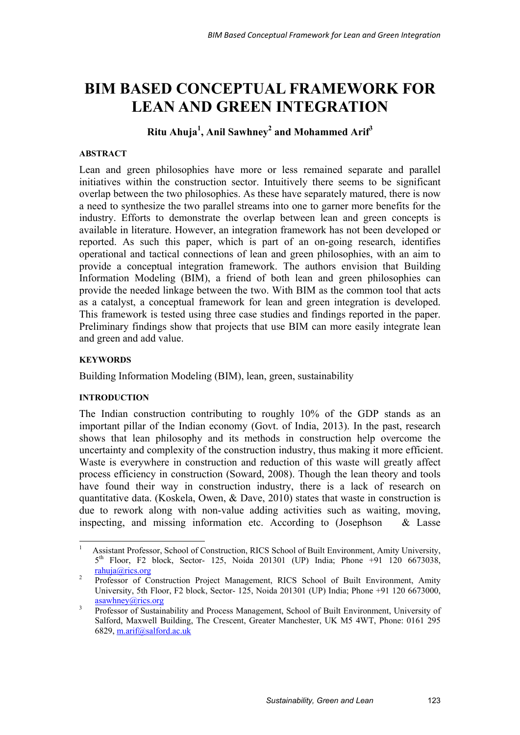# **BIM BASED CONCEPTUAL FRAMEWORK FOR LEAN AND GREEN INTEGRATION**

**Ritu Ahuja<sup>1</sup> , Anil Sawhney<sup>2</sup> and Mohammed Arif3**

## **ABSTRACT**

Lean and green philosophies have more or less remained separate and parallel initiatives within the construction sector. Intuitively there seems to be significant overlap between the two philosophies. As these have separately matured, there is now a need to synthesize the two parallel streams into one to garner more benefits for the industry. Efforts to demonstrate the overlap between lean and green concepts is available in literature. However, an integration framework has not been developed or reported. As such this paper, which is part of an on-going research, identifies operational and tactical connections of lean and green philosophies, with an aim to provide a conceptual integration framework. The authors envision that Building Information Modeling (BIM), a friend of both lean and green philosophies can provide the needed linkage between the two. With BIM as the common tool that acts as a catalyst, a conceptual framework for lean and green integration is developed. This framework is tested using three case studies and findings reported in the paper. Preliminary findings show that projects that use BIM can more easily integrate lean and green and add value.

## **KEYWORDS**

Building Information Modeling (BIM), lean, green, sustainability

#### **INTRODUCTION**

The Indian construction contributing to roughly 10% of the GDP stands as an important pillar of the Indian economy (Govt. of India, 2013). In the past, research shows that lean philosophy and its methods in construction help overcome the uncertainty and complexity of the construction industry, thus making it more efficient. Waste is everywhere in construction and reduction of this waste will greatly affect process efficiency in construction (Soward, 2008). Though the lean theory and tools have found their way in construction industry, there is a lack of research on quantitative data. (Koskela, Owen, & Dave, 2010) states that waste in construction is due to rework along with non-value adding activities such as waiting, moving, inspecting, and missing information etc. According to (Josephson & Lasse

 $\frac{1}{1}$  Assistant Professor, School of Construction, RICS School of Built Environment, Amity University,  $5<sup>th</sup>$  Floor, F2 block, Sector- 125, Noida 201301 (UP) India; Phone +91 120 6673038,  $rac{\text{rahuja@rics.org}}{\text{Professor of } C}$ 

Professor of Construction Project Management, RICS School of Built Environment, Amity University, 5th Floor, F2 block, Sector- 125, Noida 201301 (UP) India; Phone +91 120 6673000, asawhney@rics.org

<sup>3</sup> Professor of Sustainability and Process Management, School of Built Environment, University of Salford, Maxwell Building, The Crescent, Greater Manchester, UK M5 4WT, Phone: 0161 295 6829, m.arif@salford.ac.uk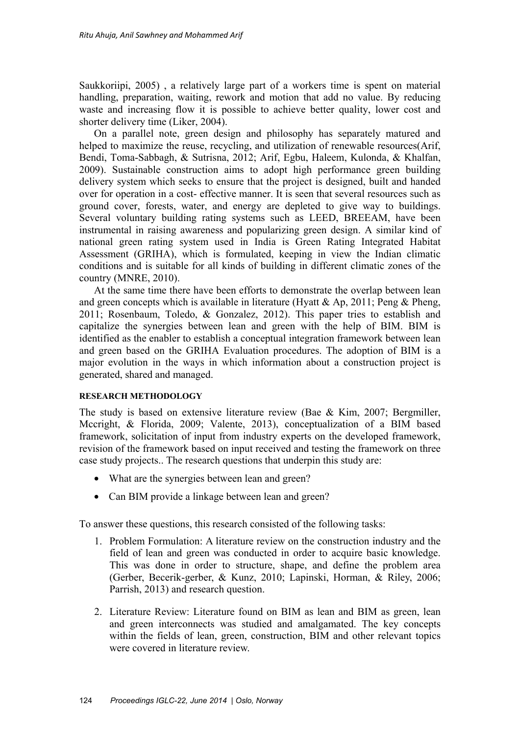Saukkoriipi, 2005) , a relatively large part of a workers time is spent on material handling, preparation, waiting, rework and motion that add no value. By reducing waste and increasing flow it is possible to achieve better quality, lower cost and shorter delivery time (Liker, 2004).

On a parallel note, green design and philosophy has separately matured and helped to maximize the reuse, recycling, and utilization of renewable resources(Arif, Bendi, Toma-Sabbagh, & Sutrisna, 2012; Arif, Egbu, Haleem, Kulonda, & Khalfan, 2009). Sustainable construction aims to adopt high performance green building delivery system which seeks to ensure that the project is designed, built and handed over for operation in a cost- effective manner. It is seen that several resources such as ground cover, forests, water, and energy are depleted to give way to buildings. Several voluntary building rating systems such as LEED, BREEAM, have been instrumental in raising awareness and popularizing green design. A similar kind of national green rating system used in India is Green Rating Integrated Habitat Assessment (GRIHA), which is formulated, keeping in view the Indian climatic conditions and is suitable for all kinds of building in different climatic zones of the country (MNRE, 2010).

At the same time there have been efforts to demonstrate the overlap between lean and green concepts which is available in literature (Hyatt & Ap, 2011; Peng & Pheng, 2011; Rosenbaum, Toledo, & Gonzalez, 2012). This paper tries to establish and capitalize the synergies between lean and green with the help of BIM. BIM is identified as the enabler to establish a conceptual integration framework between lean and green based on the GRIHA Evaluation procedures. The adoption of BIM is a major evolution in the ways in which information about a construction project is generated, shared and managed.

#### **RESEARCH METHODOLOGY**

The study is based on extensive literature review (Bae & Kim, 2007; Bergmiller, Mccright, & Florida, 2009; Valente, 2013), conceptualization of a BIM based framework, solicitation of input from industry experts on the developed framework, revision of the framework based on input received and testing the framework on three case study projects.. The research questions that underpin this study are:

- What are the synergies between lean and green?
- Can BIM provide a linkage between lean and green?

To answer these questions, this research consisted of the following tasks:

- 1. Problem Formulation: A literature review on the construction industry and the field of lean and green was conducted in order to acquire basic knowledge. This was done in order to structure, shape, and define the problem area (Gerber, Becerik-gerber, & Kunz, 2010; Lapinski, Horman, & Riley, 2006; Parrish, 2013) and research question.
- 2. Literature Review: Literature found on BIM as lean and BIM as green, lean and green interconnects was studied and amalgamated. The key concepts within the fields of lean, green, construction, BIM and other relevant topics were covered in literature review.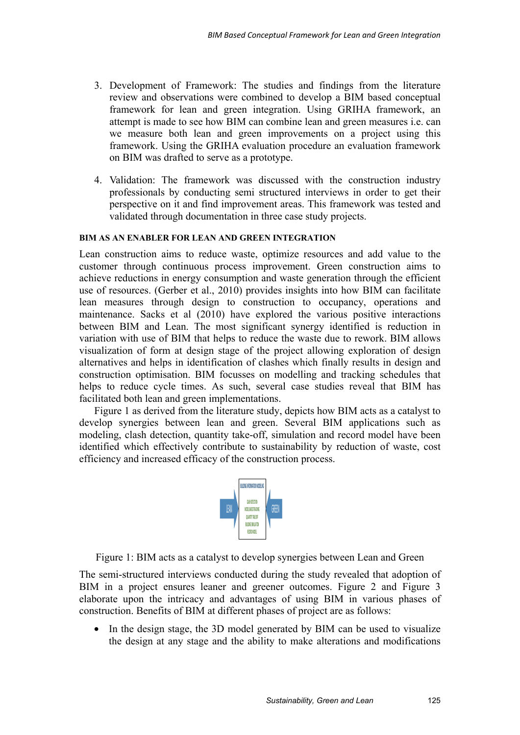- 3. Development of Framework: The studies and findings from the literature review and observations were combined to develop a BIM based conceptual framework for lean and green integration. Using GRIHA framework, an attempt is made to see how BIM can combine lean and green measures i.e. can we measure both lean and green improvements on a project using this framework. Using the GRIHA evaluation procedure an evaluation framework on BIM was drafted to serve as a prototype.
- 4. Validation: The framework was discussed with the construction industry professionals by conducting semi structured interviews in order to get their perspective on it and find improvement areas. This framework was tested and validated through documentation in three case study projects.

# **BIM AS AN ENABLER FOR LEAN AND GREEN INTEGRATION**

Lean construction aims to reduce waste, optimize resources and add value to the customer through continuous process improvement. Green construction aims to achieve reductions in energy consumption and waste generation through the efficient use of resources. (Gerber et al., 2010) provides insights into how BIM can facilitate lean measures through design to construction to occupancy, operations and maintenance. Sacks et al (2010) have explored the various positive interactions between BIM and Lean. The most significant synergy identified is reduction in variation with use of BIM that helps to reduce the waste due to rework. BIM allows visualization of form at design stage of the project allowing exploration of design alternatives and helps in identification of clashes which finally results in design and construction optimisation. BIM focusses on modelling and tracking schedules that helps to reduce cycle times. As such, several case studies reveal that BIM has facilitated both lean and green implementations.

Figure 1 as derived from the literature study, depicts how BIM acts as a catalyst to develop synergies between lean and green. Several BIM applications such as modeling, clash detection, quantity take-off, simulation and record model have been identified which effectively contribute to sustainability by reduction of waste, cost efficiency and increased efficacy of the construction process.



Figure 1: BIM acts as a catalyst to develop synergies between Lean and Green

The semi-structured interviews conducted during the study revealed that adoption of BIM in a project ensures leaner and greener outcomes. Figure 2 and Figure 3 elaborate upon the intricacy and advantages of using BIM in various phases of construction. Benefits of BIM at different phases of project are as follows:

• In the design stage, the 3D model generated by BIM can be used to visualize the design at any stage and the ability to make alterations and modifications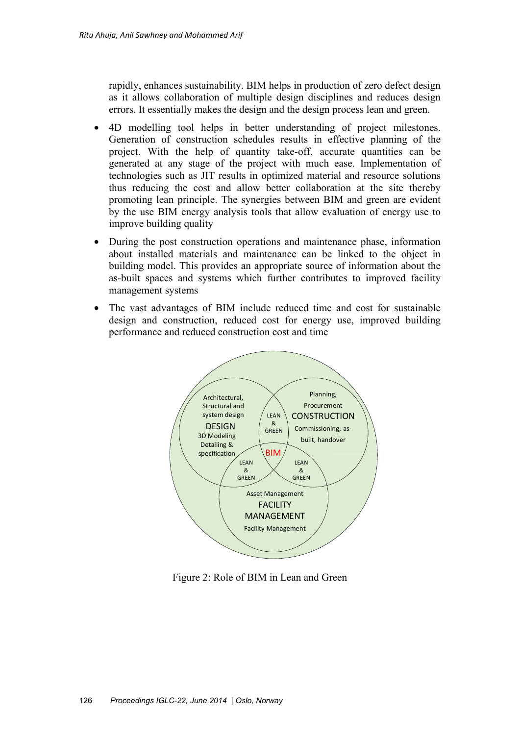rapidly, enhances sustainability. BIM helps in production of zero defect design as it allows collaboration of multiple design disciplines and reduces design errors. It essentially makes the design and the design process lean and green.

- 4D modelling tool helps in better understanding of project milestones. Generation of construction schedules results in effective planning of the project. With the help of quantity take-off, accurate quantities can be generated at any stage of the project with much ease. Implementation of technologies such as JIT results in optimized material and resource solutions thus reducing the cost and allow better collaboration at the site thereby promoting lean principle. The synergies between BIM and green are evident by the use BIM energy analysis tools that allow evaluation of energy use to improve building quality
- During the post construction operations and maintenance phase, information about installed materials and maintenance can be linked to the object in building model. This provides an appropriate source of information about the as-built spaces and systems which further contributes to improved facility management systems
- The vast advantages of BIM include reduced time and cost for sustainable design and construction, reduced cost for energy use, improved building performance and reduced construction cost and time



Figure 2: Role of BIM in Lean and Green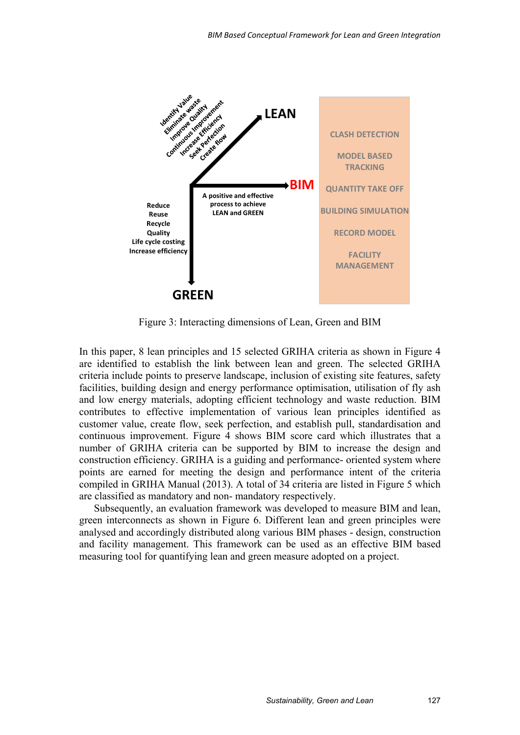

Figure 3: Interacting dimensions of Lean, Green and BIM

In this paper, 8 lean principles and 15 selected GRIHA criteria as shown in Figure 4 are identified to establish the link between lean and green. The selected GRIHA criteria include points to preserve landscape, inclusion of existing site features, safety facilities, building design and energy performance optimisation, utilisation of fly ash and low energy materials, adopting efficient technology and waste reduction. BIM contributes to effective implementation of various lean principles identified as customer value, create flow, seek perfection, and establish pull, standardisation and continuous improvement. Figure 4 shows BIM score card which illustrates that a number of GRIHA criteria can be supported by BIM to increase the design and construction efficiency. GRIHA is a guiding and performance- oriented system where points are earned for meeting the design and performance intent of the criteria compiled in GRIHA Manual (2013). A total of 34 criteria are listed in Figure 5 which are classified as mandatory and non- mandatory respectively.

Subsequently, an evaluation framework was developed to measure BIM and lean, green interconnects as shown in Figure 6. Different lean and green principles were analysed and accordingly distributed along various BIM phases - design, construction and facility management. This framework can be used as an effective BIM based measuring tool for quantifying lean and green measure adopted on a project.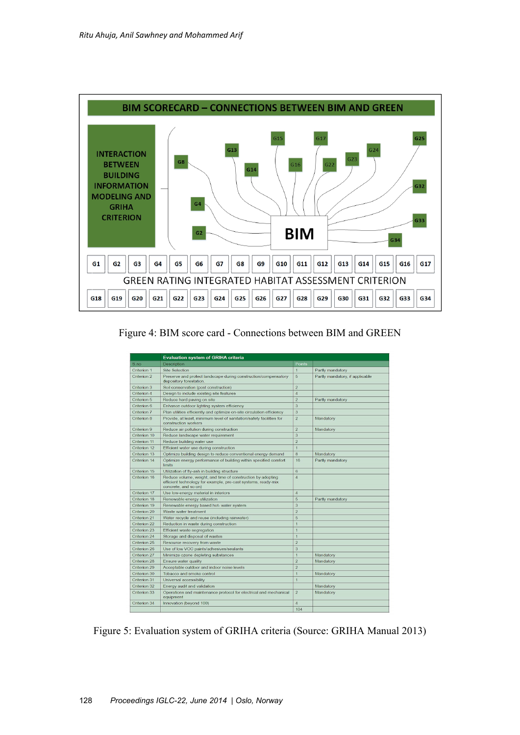

Figure 4: BIM score card - Connections between BIM and GREEN

|              | <b>Evaluation system of GRIHA criteria</b>                                                                                                           |                |                                 |  |
|--------------|------------------------------------------------------------------------------------------------------------------------------------------------------|----------------|---------------------------------|--|
| S.no         | Description                                                                                                                                          | Points         |                                 |  |
| Criterion 1  | <b>Site Selection</b>                                                                                                                                | $\overline{1}$ | Partly mandatory                |  |
| Criterion 2  | Preserve and protect landscape during construction/compensatory<br>depository forestation.                                                           | 5              | Partly mandatory, if applicable |  |
| Criterion 3  | Soil conservation (post construction)                                                                                                                | $\overline{2}$ |                                 |  |
| Criterion 4  | Design to include existing site features                                                                                                             | $\overline{4}$ |                                 |  |
| Criterion 5  | Reduce hard paving on site                                                                                                                           | $\overline{2}$ | Partly mandatory                |  |
| Criterion 6  | Enhance outdoor lighting system efficiency                                                                                                           | 3              |                                 |  |
| Criterion 7  | Plan utilities efficiently and optimize on-site circulation efficiency                                                                               | 3              |                                 |  |
| Criterion 8  | Provide, at least, minimum level of sanitation/safety facilities for<br>construction workers                                                         | $\overline{c}$ | Mandatory                       |  |
| Criterion 9  | Reduce air pollution during construction                                                                                                             | $\overline{2}$ | Mandatory                       |  |
| Criterion 10 | Reduce landscape water requirement                                                                                                                   | 3              |                                 |  |
| Criterion 11 | Reduce building water use                                                                                                                            | $\overline{2}$ |                                 |  |
| Criterion 12 | Efficient water use during construction                                                                                                              | $\overline{1}$ |                                 |  |
| Criterion 13 | Optimize building design to reduce conventional energy demand                                                                                        | 8              | Mandatory                       |  |
| Criterion 14 | Optimize energy performance of building within specified comfort<br>limits                                                                           | 16             | Partly mandatory                |  |
| Criterion 15 | Utilization of fly-ash in building structure                                                                                                         | 6              |                                 |  |
| Criterion 16 | Reduce volume, weight, and time of construction by adopting<br>efficient technology for example, pre-cast systems, ready-mix<br>concrete, and so on) | $\overline{4}$ |                                 |  |
| Criterion 17 | Use low-energy material in interiors                                                                                                                 | $\overline{4}$ |                                 |  |
| Criterion 18 | Renewable energy utilization                                                                                                                         | 5              | Partly mandatory                |  |
| Criterion 19 | Renewable energy based hot- water system                                                                                                             | 3              |                                 |  |
| Criterion 20 | Waste water treatment                                                                                                                                | $\overline{2}$ |                                 |  |
| Criterion 21 | Water recycle and reuse (including rainwater)                                                                                                        | 5              |                                 |  |
| Criterion 22 | Reduction in waste during construction                                                                                                               | $\overline{1}$ |                                 |  |
| Criterion 23 | <b>Efficient waste segregation</b>                                                                                                                   | $\overline{1}$ |                                 |  |
| Criterion 24 | Storage and disposal of wastes                                                                                                                       | $\overline{1}$ |                                 |  |
| Criterion 25 | Resource recovery from waste                                                                                                                         | $\overline{2}$ |                                 |  |
| Criterion 26 | Use of low VOC paints/adhesives/sealants                                                                                                             | 3              |                                 |  |
| Criterion 27 | Minimize ozone depleting substances                                                                                                                  | $\overline{1}$ | Mandatory                       |  |
| Criterion 28 | Ensure water quality                                                                                                                                 | $\overline{2}$ | Mandatory                       |  |
| Criterion 29 | Acceptable outdoor and indoor noise levels                                                                                                           | $\overline{2}$ |                                 |  |
| Criterion 30 | Tobacco and smoke control                                                                                                                            | $\overline{1}$ | Mandatory                       |  |
| Criterion 31 | Universal accessibility                                                                                                                              | $\overline{1}$ |                                 |  |
| Criterion 32 | Energy audit and validation                                                                                                                          |                | Mandatory                       |  |
| Criterion 33 | Operations and maintenance protocol for electrical and mechanical<br>equipment                                                                       | $\overline{2}$ | Mandatory                       |  |
| Criterion 34 | Innovation (beyond 100)                                                                                                                              | $\overline{4}$ |                                 |  |
|              |                                                                                                                                                      | 104            |                                 |  |

Figure 5: Evaluation system of GRIHA criteria (Source: GRIHA Manual 2013)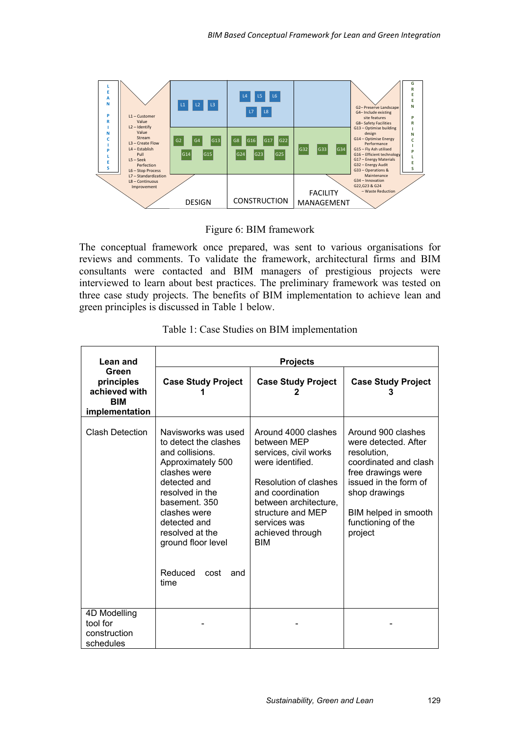

Figure 6: BIM framework

The conceptual framework once prepared, was sent to various organisations for reviews and comments. To validate the framework, architectural firms and BIM consultants were contacted and BIM managers of prestigious projects were interviewed to learn about best practices. The preliminary framework was tested on three case study projects. The benefits of BIM implementation to achieve lean and green principles is discussed in Table 1 below.

| Lean and                                                             | <b>Projects</b>                                                                                                                                                                                                                                                     |                                                                                                                                                                                                                              |                                                                                                                                                                                                             |  |
|----------------------------------------------------------------------|---------------------------------------------------------------------------------------------------------------------------------------------------------------------------------------------------------------------------------------------------------------------|------------------------------------------------------------------------------------------------------------------------------------------------------------------------------------------------------------------------------|-------------------------------------------------------------------------------------------------------------------------------------------------------------------------------------------------------------|--|
| Green<br>principles<br>achieved with<br><b>BIM</b><br>implementation | <b>Case Study Project</b>                                                                                                                                                                                                                                           | <b>Case Study Project</b>                                                                                                                                                                                                    | <b>Case Study Project</b>                                                                                                                                                                                   |  |
| <b>Clash Detection</b>                                               | Navisworks was used<br>to detect the clashes<br>and collisions.<br>Approximately 500<br>clashes were<br>detected and<br>resolved in the<br>basement. 350<br>clashes were<br>detected and<br>resolved at the<br>ground floor level<br>Reduced<br>cost<br>and<br>time | Around 4000 clashes<br>between MEP<br>services, civil works<br>were identified.<br>Resolution of clashes<br>and coordination<br>between architecture,<br>structure and MEP<br>services was<br>achieved through<br><b>BIM</b> | Around 900 clashes<br>were detected. After<br>resolution,<br>coordinated and clash<br>free drawings were<br>issued in the form of<br>shop drawings<br>BIM helped in smooth<br>functioning of the<br>project |  |
| 4D Modelling<br>tool for<br>construction<br>schedules                |                                                                                                                                                                                                                                                                     |                                                                                                                                                                                                                              |                                                                                                                                                                                                             |  |

|  |  |  |  |  | Table 1: Case Studies on BIM implementation |
|--|--|--|--|--|---------------------------------------------|
|--|--|--|--|--|---------------------------------------------|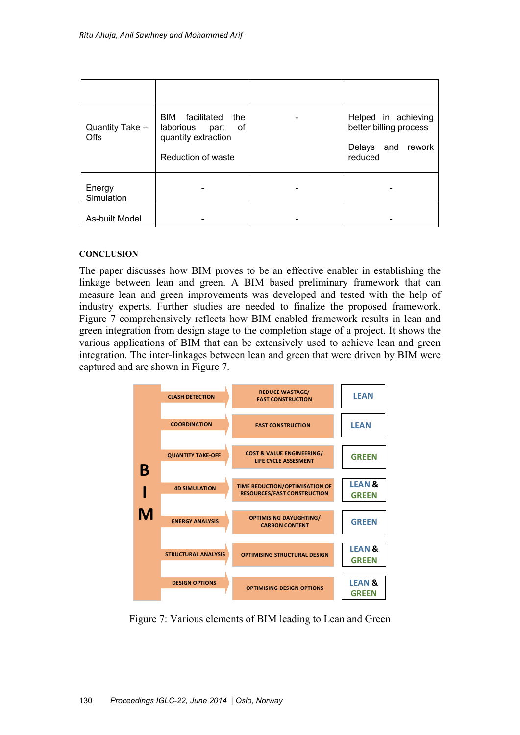| Quantity Take -<br><b>Offs</b> | BIM facilitated<br>the<br>laborious part<br>οf<br>quantity extraction<br>Reduction of waste | Helped in achieving<br>better billing process<br>Delays and rework<br>reduced |
|--------------------------------|---------------------------------------------------------------------------------------------|-------------------------------------------------------------------------------|
| Energy<br>Simulation           |                                                                                             |                                                                               |
| As-built Model                 |                                                                                             |                                                                               |

#### **CONCLUSION**

The paper discusses how BIM proves to be an effective enabler in establishing the linkage between lean and green. A BIM based preliminary framework that can measure lean and green improvements was developed and tested with the help of industry experts. Further studies are needed to finalize the proposed framework. Figure 7 comprehensively reflects how BIM enabled framework results in lean and green integration from design stage to the completion stage of a project. It shows the various applications of BIM that can be extensively used to achieve lean and green integration. The inter-linkages between lean and green that were driven by BIM were captured and are shown in Figure 7.



Figure 7: Various elements of BIM leading to Lean and Green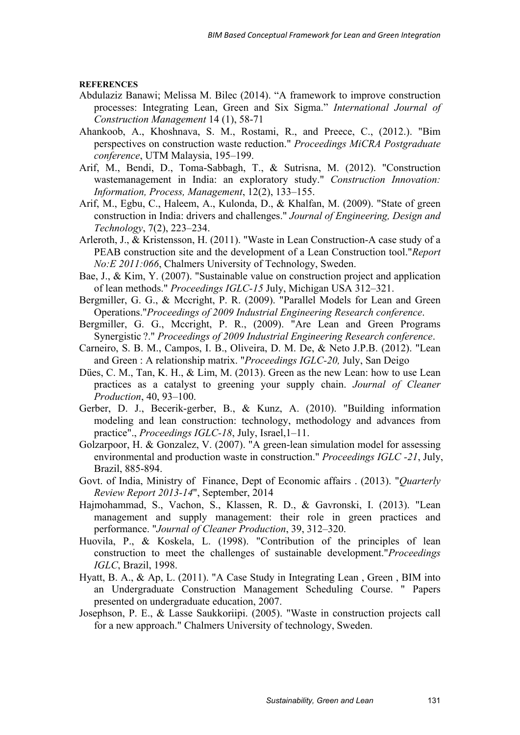#### **REFERENCES**

- Abdulaziz Banawi; Melissa M. Bilec (2014). "A framework to improve construction processes: Integrating Lean, Green and Six Sigma." *International Journal of Construction Management* 14 (1), 58-71
- Ahankoob, A., Khoshnava, S. M., Rostami, R., and Preece, C., (2012.). "Bim perspectives on construction waste reduction." *Proceedings MiCRA Postgraduate conference*, UTM Malaysia, 195–199.
- Arif, M., Bendi, D., Toma-Sabbagh, T., & Sutrisna, M. (2012). "Construction wastemanagement in India: an exploratory study." *Construction Innovation: Information, Process, Management*, 12(2), 133–155.
- Arif, M., Egbu, C., Haleem, A., Kulonda, D., & Khalfan, M. (2009). "State of green construction in India: drivers and challenges." *Journal of Engineering, Design and Technology*, 7(2), 223–234.
- Arleroth, J., & Kristensson, H. (2011). "Waste in Lean Construction-A case study of a PEAB construction site and the development of a Lean Construction tool."*Report No:E 2011:066*, Chalmers University of Technology, Sweden.
- Bae, J., & Kim, Y. (2007). "Sustainable value on construction project and application of lean methods." *Proceedings IGLC-15* July, Michigan USA 312–321.
- Bergmiller, G. G., & Mccright, P. R. (2009). "Parallel Models for Lean and Green Operations."*Proceedings of 2009 Industrial Engineering Research conference*.
- Bergmiller, G. G., Mccright, P. R., (2009). "Are Lean and Green Programs Synergistic ?." *Proceedings of 2009 Industrial Engineering Research conference*.
- Carneiro, S. B. M., Campos, I. B., Oliveira, D. M. De, & Neto J.P.B. (2012). "Lean and Green : A relationship matrix. "*Proceedings IGLC-20,* July, San Deigo
- Dües, C. M., Tan, K. H., & Lim, M. (2013). Green as the new Lean: how to use Lean practices as a catalyst to greening your supply chain. *Journal of Cleaner Production*, 40, 93–100.
- Gerber, D. J., Becerik-gerber, B., & Kunz, A. (2010). "Building information modeling and lean construction: technology, methodology and advances from practice"., *Proceedings IGLC-18*, July, Israel,1–11.
- Golzarpoor, H. & Gonzalez, V. (2007). "A green-lean simulation model for assessing environmental and production waste in construction." *Proceedings IGLC -21*, July, Brazil, 885-894.
- Govt. of India, Ministry of Finance, Dept of Economic affairs . (2013). "*Quarterly Review Report 2013-14*", September, 2014
- Hajmohammad, S., Vachon, S., Klassen, R. D., & Gavronski, I. (2013). "Lean management and supply management: their role in green practices and performance. "*Journal of Cleaner Production*, 39, 312–320.
- Huovila, P., & Koskela, L. (1998). "Contribution of the principles of lean construction to meet the challenges of sustainable development."*Proceedings IGLC*, Brazil, 1998.
- Hyatt, B. A., & Ap, L. (2011). "A Case Study in Integrating Lean , Green , BIM into an Undergraduate Construction Management Scheduling Course. " Papers presented on undergraduate education, 2007.
- Josephson, P. E., & Lasse Saukkoriipi. (2005). "Waste in construction projects call for a new approach." Chalmers University of technology, Sweden.